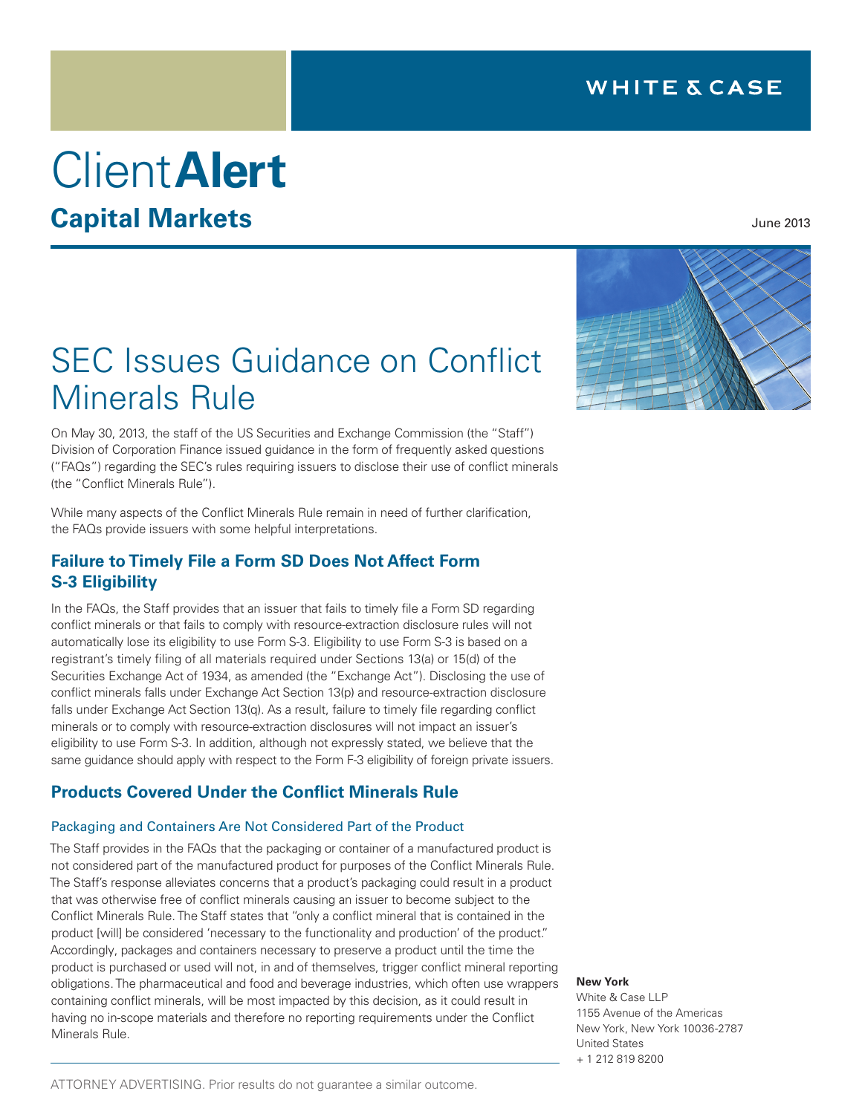## **WHITE & CASE**

# Client**Alert Capital Markets**

## SEC Issues Guidance on Conflict Minerals Rule

On May 30, 2013, the staff of the US Securities and Exchange Commission (the "Staff") Division of Corporation Finance issued guidance in the form of frequently asked questions ("FAQs") regarding the SEC's rules requiring issuers to disclose their use of conflict minerals (the "Conflict Minerals Rule").

While many aspects of the Conflict Minerals Rule remain in need of further clarification, the FAQs provide issuers with some helpful interpretations.

## **Failure to Timely File a Form SD Does Not Affect Form S-3 Eligibility**

In the FAQs, the Staff provides that an issuer that fails to timely file a Form SD regarding conflict minerals or that fails to comply with resource-extraction disclosure rules will not automatically lose its eligibility to use Form S-3. Eligibility to use Form S-3 is based on a registrant's timely filing of all materials required under Sections 13(a) or 15(d) of the Securities Exchange Act of 1934, as amended (the "Exchange Act"). Disclosing the use of conflict minerals falls under Exchange Act Section 13(p) and resource-extraction disclosure falls under Exchange Act Section 13(q). As a result, failure to timely file regarding conflict minerals or to comply with resource-extraction disclosures will not impact an issuer's eligibility to use Form S-3. In addition, although not expressly stated, we believe that the same guidance should apply with respect to the Form F-3 eligibility of foreign private issuers.

## **Products Covered Under the Conflict Minerals Rule**

#### Packaging and Containers Are Not Considered Part of the Product

The Staff provides in the FAQs that the packaging or container of a manufactured product is not considered part of the manufactured product for purposes of the Conflict Minerals Rule. The Staff's response alleviates concerns that a product's packaging could result in a product that was otherwise free of conflict minerals causing an issuer to become subject to the Conflict Minerals Rule. The Staff states that "only a conflict mineral that is contained in the product [will] be considered 'necessary to the functionality and production' of the product." Accordingly, packages and containers necessary to preserve a product until the time the product is purchased or used will not, in and of themselves, trigger conflict mineral reporting obligations. The pharmaceutical and food and beverage industries, which often use wrappers containing conflict minerals, will be most impacted by this decision, as it could result in having no in-scope materials and therefore no reporting requirements under the Conflict Minerals Rule.



June 2013

#### **New York**

White & Case LLP 1155 Avenue of the Americas New York, New York 10036-2787 United States + 1 212 819 8200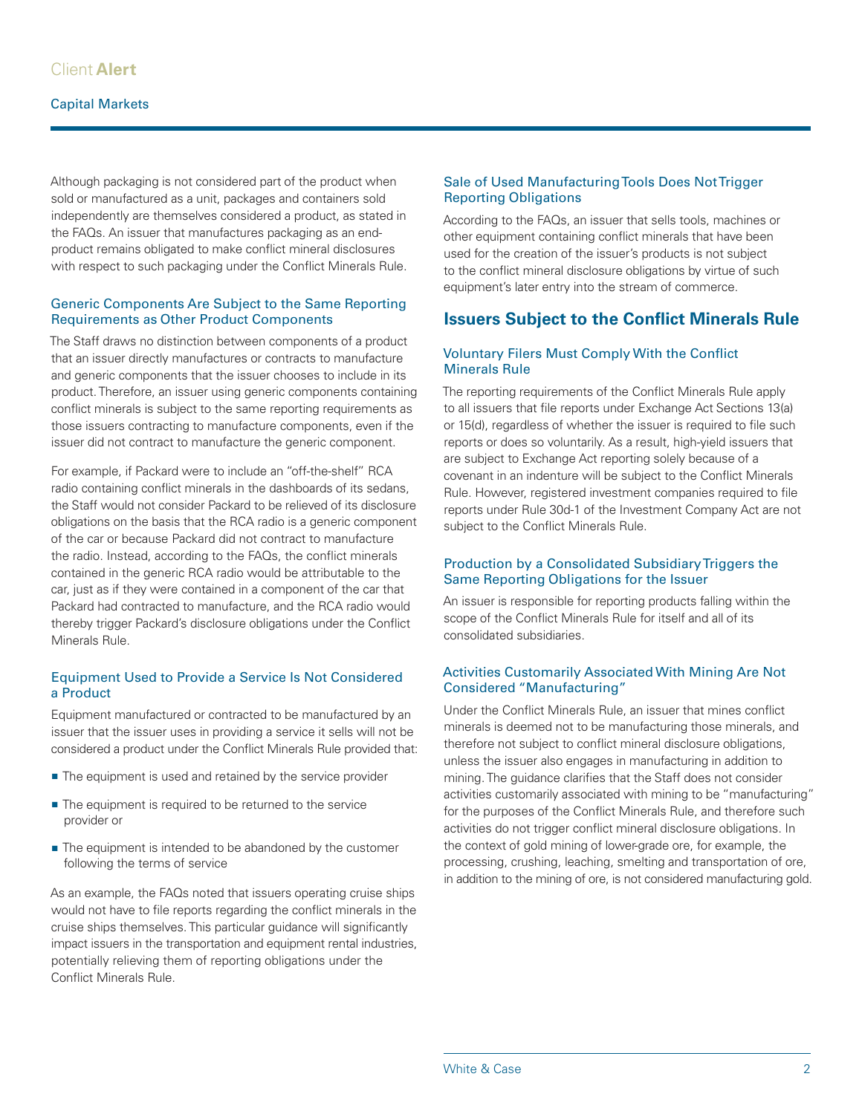Although packaging is not considered part of the product when sold or manufactured as a unit, packages and containers sold independently are themselves considered a product, as stated in the FAQs. An issuer that manufactures packaging as an endproduct remains obligated to make conflict mineral disclosures with respect to such packaging under the Conflict Minerals Rule.

#### Generic Components Are Subject to the Same Reporting Requirements as Other Product Components

The Staff draws no distinction between components of a product that an issuer directly manufactures or contracts to manufacture and generic components that the issuer chooses to include in its product. Therefore, an issuer using generic components containing conflict minerals is subject to the same reporting requirements as those issuers contracting to manufacture components, even if the issuer did not contract to manufacture the generic component.

For example, if Packard were to include an "off-the-shelf" RCA radio containing conflict minerals in the dashboards of its sedans, the Staff would not consider Packard to be relieved of its disclosure obligations on the basis that the RCA radio is a generic component of the car or because Packard did not contract to manufacture the radio. Instead, according to the FAQs, the conflict minerals contained in the generic RCA radio would be attributable to the car, just as if they were contained in a component of the car that Packard had contracted to manufacture, and the RCA radio would thereby trigger Packard's disclosure obligations under the Conflict Minerals Rule.

#### Equipment Used to Provide a Service Is Not Considered a Product

Equipment manufactured or contracted to be manufactured by an issuer that the issuer uses in providing a service it sells will not be considered a product under the Conflict Minerals Rule provided that:

- The equipment is used and retained by the service provider
- The equipment is required to be returned to the service provider or
- The equipment is intended to be abandoned by the customer following the terms of service

As an example, the FAQs noted that issuers operating cruise ships would not have to file reports regarding the conflict minerals in the cruise ships themselves. This particular guidance will significantly impact issuers in the transportation and equipment rental industries, potentially relieving them of reporting obligations under the Conflict Minerals Rule.

#### Sale of Used Manufacturing Tools Does Not Trigger Reporting Obligations

According to the FAQs, an issuer that sells tools, machines or other equipment containing conflict minerals that have been used for the creation of the issuer's products is not subject to the conflict mineral disclosure obligations by virtue of such equipment's later entry into the stream of commerce.

## **Issuers Subject to the Conflict Minerals Rule**

#### Voluntary Filers Must Comply With the Conflict Minerals Rule

The reporting requirements of the Conflict Minerals Rule apply to all issuers that file reports under Exchange Act Sections 13(a) or 15(d), regardless of whether the issuer is required to file such reports or does so voluntarily. As a result, high-yield issuers that are subject to Exchange Act reporting solely because of a covenant in an indenture will be subject to the Conflict Minerals Rule. However, registered investment companies required to file reports under Rule 30d-1 of the Investment Company Act are not subject to the Conflict Minerals Rule.

#### Production by a Consolidated Subsidiary Triggers the Same Reporting Obligations for the Issuer

An issuer is responsible for reporting products falling within the scope of the Conflict Minerals Rule for itself and all of its consolidated subsidiaries.

#### Activities Customarily Associated With Mining Are Not Considered "Manufacturing"

Under the Conflict Minerals Rule, an issuer that mines conflict minerals is deemed not to be manufacturing those minerals, and therefore not subject to conflict mineral disclosure obligations, unless the issuer also engages in manufacturing in addition to mining. The guidance clarifies that the Staff does not consider activities customarily associated with mining to be "manufacturing" for the purposes of the Conflict Minerals Rule, and therefore such activities do not trigger conflict mineral disclosure obligations. In the context of gold mining of lower-grade ore, for example, the processing, crushing, leaching, smelting and transportation of ore, in addition to the mining of ore, is not considered manufacturing gold.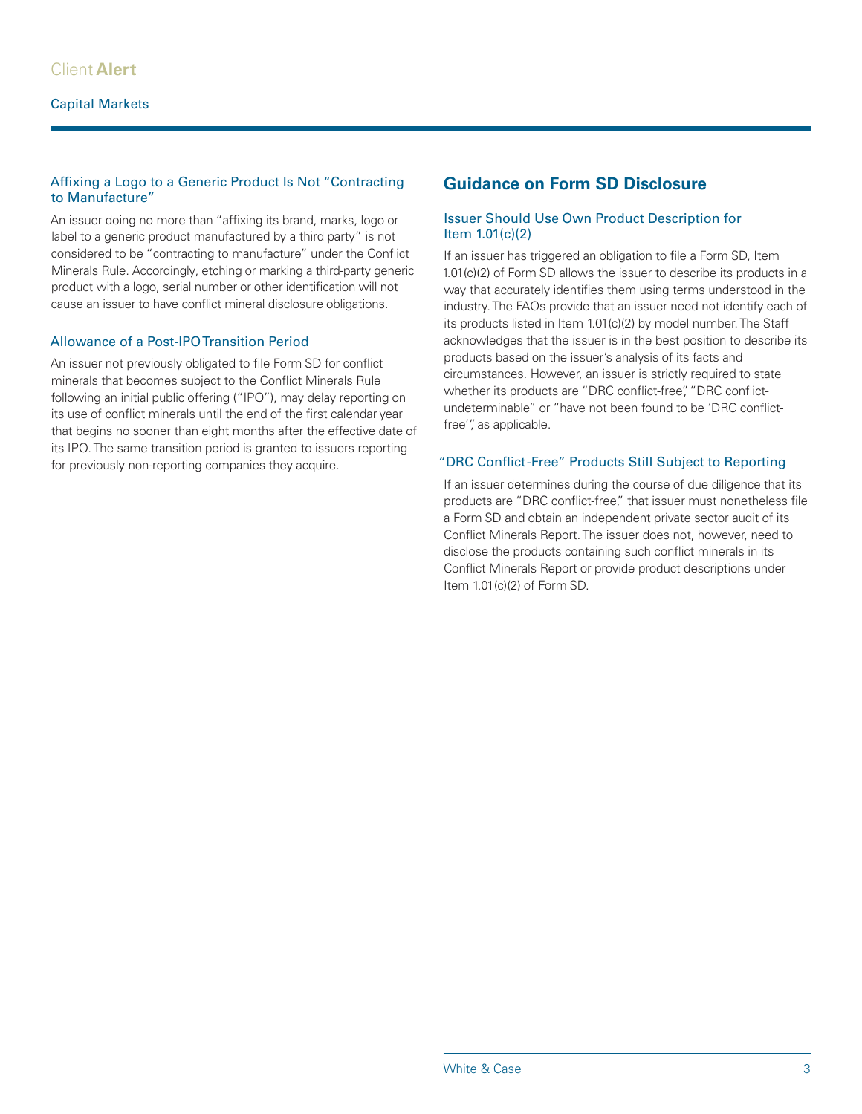#### Affixing a Logo to a Generic Product Is Not "Contracting to Manufacture"

An issuer doing no more than "affixing its brand, marks, logo or label to a generic product manufactured by a third party" is not considered to be "contracting to manufacture" under the Conflict Minerals Rule. Accordingly, etching or marking a third-party generic product with a logo, serial number or other identification will not cause an issuer to have conflict mineral disclosure obligations.

#### Allowance of a Post-IPO Transition Period

An issuer not previously obligated to file Form SD for conflict minerals that becomes subject to the Conflict Minerals Rule following an initial public offering ("IPO"), may delay reporting on its use of conflict minerals until the end of the first calendar year that begins no sooner than eight months after the effective date of its IPO. The same transition period is granted to issuers reporting for previously non-reporting companies they acquire.

## **Guidance on Form SD Disclosure**

#### Issuer Should Use Own Product Description for Item 1.01(c)(2)

If an issuer has triggered an obligation to file a Form SD, Item 1.01(c)(2) of Form SD allows the issuer to describe its products in a way that accurately identifies them using terms understood in the industry. The FAQs provide that an issuer need not identify each of its products listed in Item 1.01(c)(2) by model number. The Staff acknowledges that the issuer is in the best position to describe its products based on the issuer's analysis of its facts and circumstances. However, an issuer is strictly required to state whether its products are "DRC conflict-free", "DRC conflictundeterminable" or "have not been found to be 'DRC conflictfree'", as applicable.

#### "DRC Conflict -Free" Products Still Subject to Reporting

If an issuer determines during the course of due diligence that its products are "DRC conflict-free," that issuer must nonetheless file a Form SD and obtain an independent private sector audit of its Conflict Minerals Report. The issuer does not, however, need to disclose the products containing such conflict minerals in its Conflict Minerals Report or provide product descriptions under Item 1.01(c)(2) of Form SD.